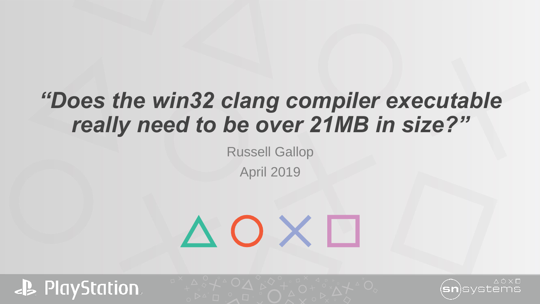# *"Does the win32 clang compiler executable really need to be over 21MB in size?"*

Russell Gallop April 2019

# $\Delta$  O X  $\Box$



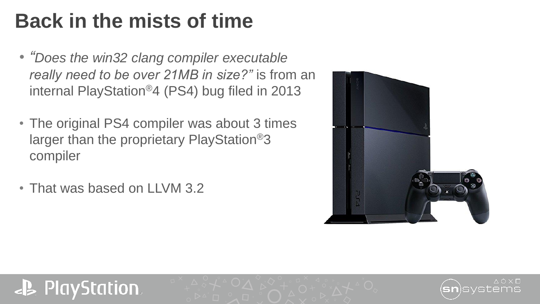# **Back in the mists of time**

- *"Does the win32 clang compiler executable really need to be over 21MB in size?"* is from an internal PlayStation®4 (PS4) bug filed in 2013
- The original PS4 compiler was about 3 times larger than the proprietary PlayStation®3 compiler
- That was based on LLVM 3.2



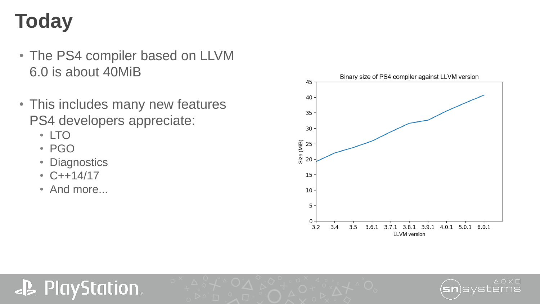# **Today**

- The PS4 compiler based on LLVM 6.0 is about 40MiB
- This includes many new features PS4 developers appreciate:
	- LTO
	- PGO
	- Diagnostics
	- C++14/17
	- And more...



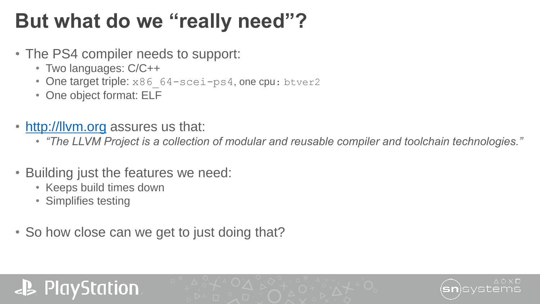## **But what do we "really need"?**

- The PS4 compiler needs to support:
	- Two languages: C/C++
	- One target triple: x86 64-scei-ps4, one cpu: btver2
	- One object format: ELF
- [http://llvm.org](http://llvm.org/) assures us that:
	- *"The LLVM Project is a collection of modular and reusable compiler and toolchain technologies."*
- Building just the features we need:
	- Keeps build times down
	- Simplifies testing
- So how close can we get to just doing that?

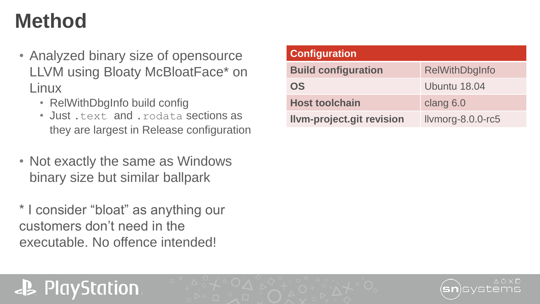## **Method**

- Analyzed binary size of opensource LLVM using Bloaty McBloatFace\* on **Linux** 
	- RelWithDbgInfo build config
	- Just .text and .rodata sections as they are largest in Release configuration
- Not exactly the same as Windows binary size but similar ballpark
- \* I consider "bloat" as anything our customers don't need in the executable. No offence intended!

| <b>Configuration</b>             |                       |
|----------------------------------|-----------------------|
| <b>Build configuration</b>       | <b>RelWithDbgInfo</b> |
| <b>OS</b>                        | Ubuntu 18.04          |
| <b>Host toolchain</b>            | clang 6.0             |
| <b>Ilvm-project.git revision</b> | Ilvmorg-8.0.0-rc5     |

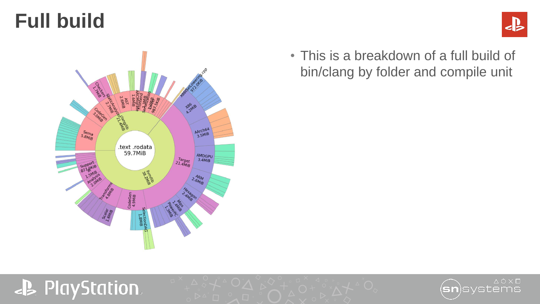#### **Full build**



#### • This is a breakdown of a full build of bin/clang by folder and compile unit



#### **JB** PlayStation.

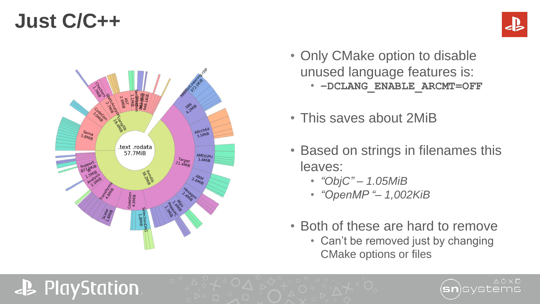#### **Just C/C++**

**J. PlayStation.** 



- Only CMake option to disable unused language features is: • **–DCLANG\_ENABLE\_ARCMT=OFF**
- This saves about 2MiB
- Based on strings in filenames this leaves:
	- *"ObjC" – 1.05MiB*
	- *"OpenMP "– 1,002KiB*
- Both of these are hard to remove
	- Can't be removed just by changing CMake options or files



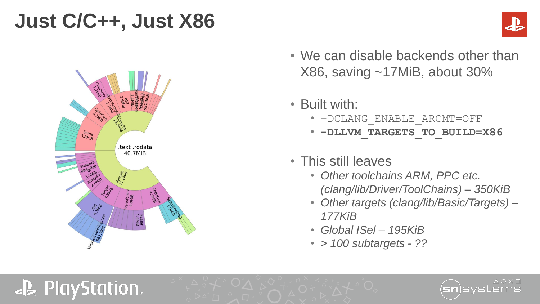### **Just C/C++, Just X86**





**J. PlayStation.** 

• We can disable backends other than X86, saving ~17MiB, about 30%

• Built with:

- –DCLANG\_ENABLE\_ARCMT=OFF
- **-DLLVM\_TARGETS\_TO\_BUILD=X86**
- This still leaves
	- *Other toolchains ARM, PPC etc. (clang/lib/Driver/ToolChains) – 350KiB*
	- *Other targets (clang/lib/Basic/Targets) – 177KiB*
	- *Global ISel – 195KiB*
	- *> 100 subtargets - ??*

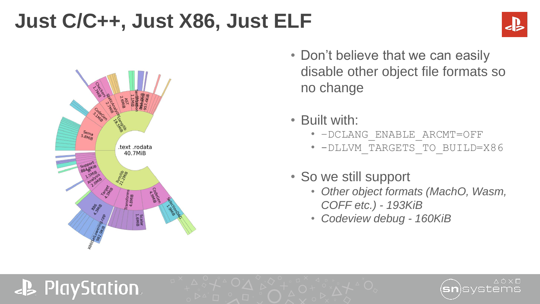# **Just C/C++, Just X86, Just ELF**





**J. PlayStation.** 

- Don't believe that we can easily disable other object file formats so no change
- Built with:
	- –DCLANG\_ENABLE\_ARCMT=OFF
	- -DLLVM\_TARGETS\_TO\_BUILD=X86
- So we still support
	- *Other object formats (MachO, Wasm, COFF etc.) - 193KiB*
	- *Codeview debug - 160KiB*